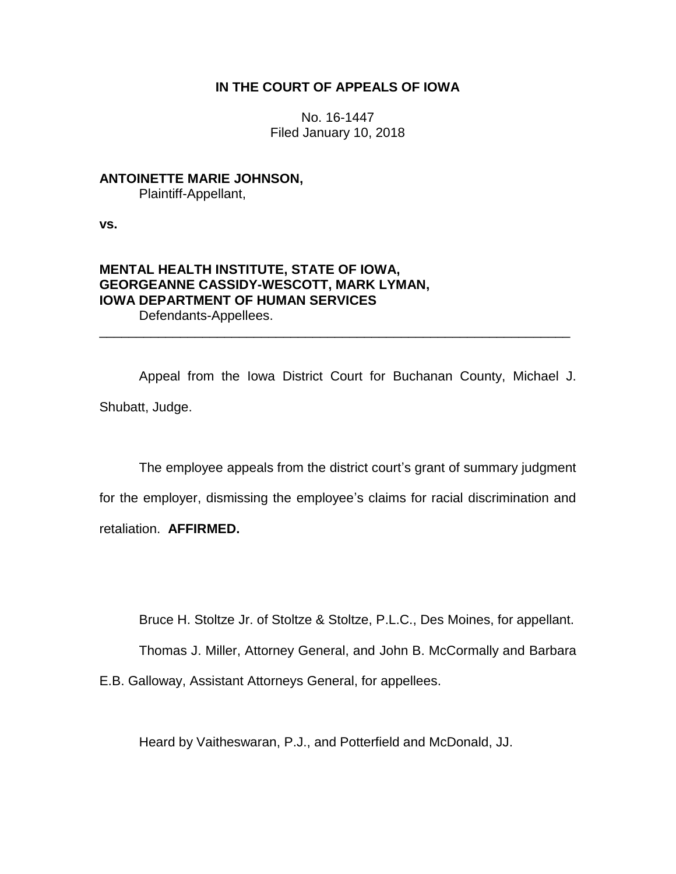## **IN THE COURT OF APPEALS OF IOWA**

No. 16-1447 Filed January 10, 2018

# **ANTOINETTE MARIE JOHNSON,**

Plaintiff-Appellant,

**vs.**

# **MENTAL HEALTH INSTITUTE, STATE OF IOWA, GEORGEANNE CASSIDY-WESCOTT, MARK LYMAN, IOWA DEPARTMENT OF HUMAN SERVICES**

Defendants-Appellees.

Appeal from the Iowa District Court for Buchanan County, Michael J. Shubatt, Judge.

\_\_\_\_\_\_\_\_\_\_\_\_\_\_\_\_\_\_\_\_\_\_\_\_\_\_\_\_\_\_\_\_\_\_\_\_\_\_\_\_\_\_\_\_\_\_\_\_\_\_\_\_\_\_\_\_\_\_\_\_\_\_\_\_

The employee appeals from the district court's grant of summary judgment for the employer, dismissing the employee's claims for racial discrimination and retaliation. **AFFIRMED.**

Bruce H. Stoltze Jr. of Stoltze & Stoltze, P.L.C., Des Moines, for appellant.

Thomas J. Miller, Attorney General, and John B. McCormally and Barbara

E.B. Galloway, Assistant Attorneys General, for appellees.

Heard by Vaitheswaran, P.J., and Potterfield and McDonald, JJ.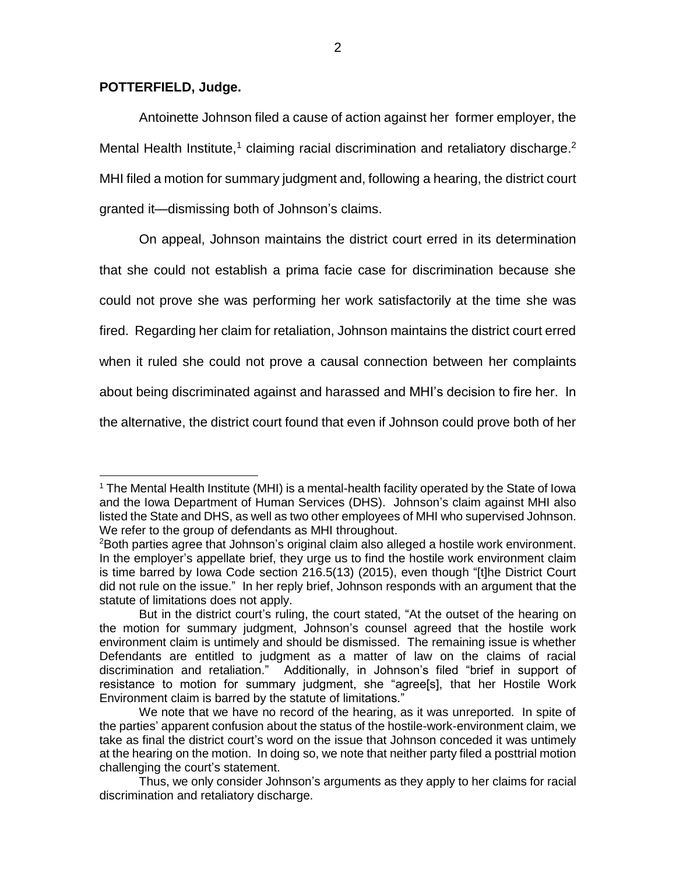#### **POTTERFIELD, Judge.**

 $\overline{a}$ 

Antoinette Johnson filed a cause of action against her former employer, the Mental Health Institute,<sup>1</sup> claiming racial discrimination and retaliatory discharge.<sup>2</sup> MHI filed a motion for summary judgment and, following a hearing, the district court granted it—dismissing both of Johnson's claims.

On appeal, Johnson maintains the district court erred in its determination that she could not establish a prima facie case for discrimination because she could not prove she was performing her work satisfactorily at the time she was fired. Regarding her claim for retaliation, Johnson maintains the district court erred when it ruled she could not prove a causal connection between her complaints about being discriminated against and harassed and MHI's decision to fire her. In the alternative, the district court found that even if Johnson could prove both of her

<sup>&</sup>lt;sup>1</sup> The Mental Health Institute (MHI) is a mental-health facility operated by the State of Iowa and the Iowa Department of Human Services (DHS). Johnson's claim against MHI also listed the State and DHS, as well as two other employees of MHI who supervised Johnson. We refer to the group of defendants as MHI throughout.

<sup>2</sup>Both parties agree that Johnson's original claim also alleged a hostile work environment. In the employer's appellate brief, they urge us to find the hostile work environment claim is time barred by Iowa Code section 216.5(13) (2015), even though "[t]he District Court did not rule on the issue." In her reply brief, Johnson responds with an argument that the statute of limitations does not apply.

But in the district court's ruling, the court stated, "At the outset of the hearing on the motion for summary judgment, Johnson's counsel agreed that the hostile work environment claim is untimely and should be dismissed. The remaining issue is whether Defendants are entitled to judgment as a matter of law on the claims of racial discrimination and retaliation." Additionally, in Johnson's filed "brief in support of resistance to motion for summary judgment, she "agree[s], that her Hostile Work Environment claim is barred by the statute of limitations."

We note that we have no record of the hearing, as it was unreported. In spite of the parties' apparent confusion about the status of the hostile-work-environment claim, we take as final the district court's word on the issue that Johnson conceded it was untimely at the hearing on the motion. In doing so, we note that neither party filed a posttrial motion challenging the court's statement.

Thus, we only consider Johnson's arguments as they apply to her claims for racial discrimination and retaliatory discharge.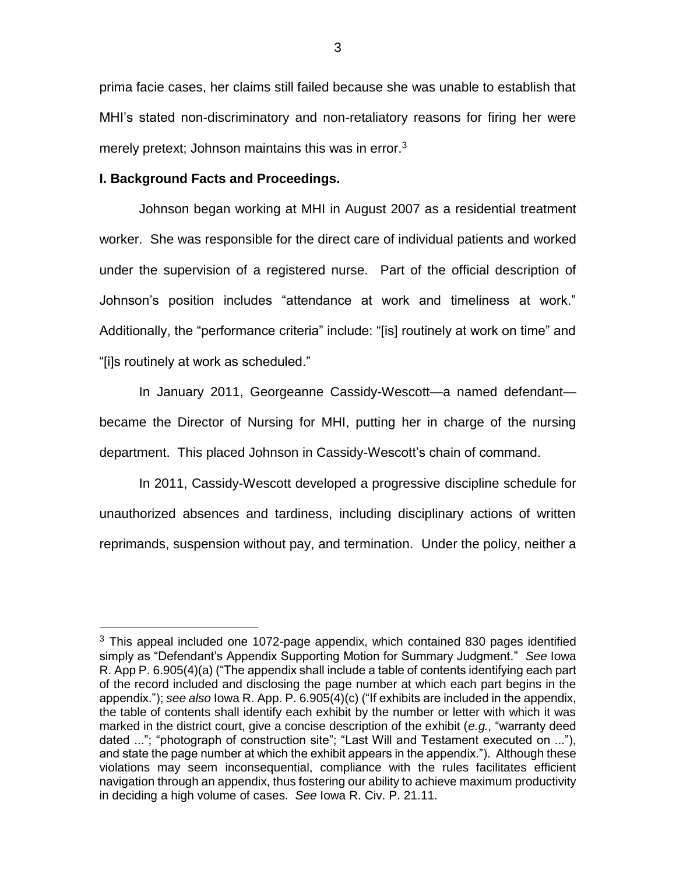prima facie cases, her claims still failed because she was unable to establish that MHI's stated non-discriminatory and non-retaliatory reasons for firing her were merely pretext; Johnson maintains this was in error. $3$ 

## **I. Background Facts and Proceedings.**

 $\overline{a}$ 

Johnson began working at MHI in August 2007 as a residential treatment worker. She was responsible for the direct care of individual patients and worked under the supervision of a registered nurse. Part of the official description of Johnson's position includes "attendance at work and timeliness at work." Additionally, the "performance criteria" include: "[is] routinely at work on time" and "[i]s routinely at work as scheduled."

In January 2011, Georgeanne Cassidy-Wescott—a named defendant became the Director of Nursing for MHI, putting her in charge of the nursing department. This placed Johnson in Cassidy-Wescott's chain of command.

In 2011, Cassidy-Wescott developed a progressive discipline schedule for unauthorized absences and tardiness, including disciplinary actions of written reprimands, suspension without pay, and termination. Under the policy, neither a

 $3$  This appeal included one 1072-page appendix, which contained 830 pages identified simply as "Defendant's Appendix Supporting Motion for Summary Judgment." *See* [Iowa](https://1.next.westlaw.com/Link/Document/FullText?findType=L&pubNum=1016823&cite=IAR6.905&originatingDoc=I6fdce3d0f10711e5b4bafa136b480ad2&refType=LQ&originationContext=document&transitionType=DocumentItem&contextData=(sc.Search))  [R. App P. 6.905\(4\)\(a\)](https://1.next.westlaw.com/Link/Document/FullText?findType=L&pubNum=1016823&cite=IAR6.905&originatingDoc=I6fdce3d0f10711e5b4bafa136b480ad2&refType=LQ&originationContext=document&transitionType=DocumentItem&contextData=(sc.Search)) ("The appendix shall include a table of contents identifying each part of the record included and disclosing the page number at which each part begins in the appendix."); *see also* Iowa R. App. P. 6.905(4)(c) ("If exhibits are included in the appendix, the table of contents shall identify each exhibit by the number or letter with which it was marked in the district court, give a concise description of the exhibit (*e.g.,* "warranty deed dated ..."; "photograph of construction site"; "Last Will and Testament executed on ..."), and state the page number at which the exhibit appears in the appendix."). Although these violations may seem inconsequential, compliance with the rules facilitates efficient navigation through an appendix, thus fostering our ability to achieve maximum productivity in deciding a high volume of cases. *See* Iowa R. Civ. P. 21.11.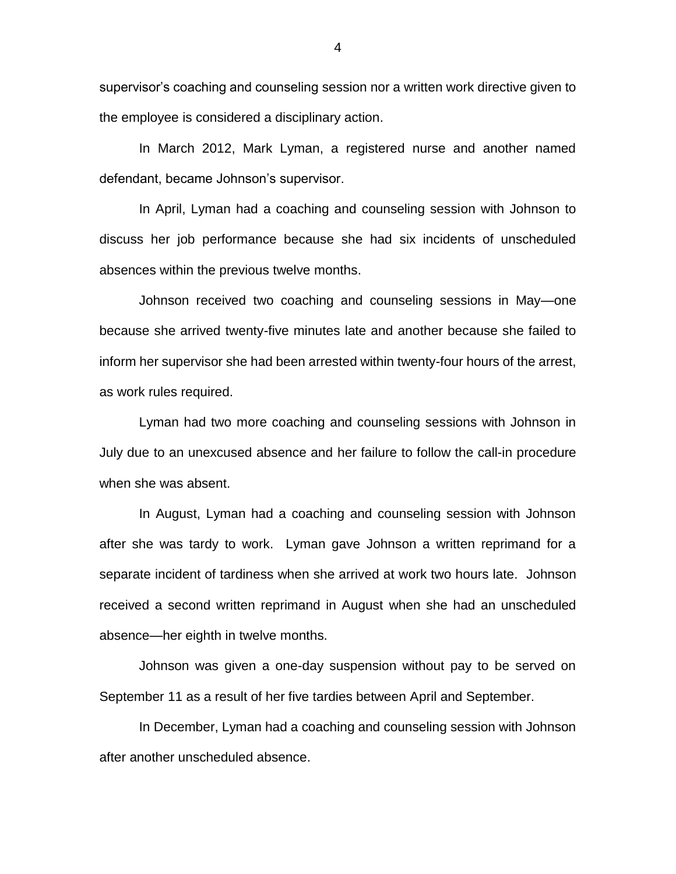supervisor's coaching and counseling session nor a written work directive given to the employee is considered a disciplinary action.

In March 2012, Mark Lyman, a registered nurse and another named defendant, became Johnson's supervisor.

In April, Lyman had a coaching and counseling session with Johnson to discuss her job performance because she had six incidents of unscheduled absences within the previous twelve months.

Johnson received two coaching and counseling sessions in May—one because she arrived twenty-five minutes late and another because she failed to inform her supervisor she had been arrested within twenty-four hours of the arrest, as work rules required.

Lyman had two more coaching and counseling sessions with Johnson in July due to an unexcused absence and her failure to follow the call-in procedure when she was absent.

In August, Lyman had a coaching and counseling session with Johnson after she was tardy to work. Lyman gave Johnson a written reprimand for a separate incident of tardiness when she arrived at work two hours late. Johnson received a second written reprimand in August when she had an unscheduled absence—her eighth in twelve months.

Johnson was given a one-day suspension without pay to be served on September 11 as a result of her five tardies between April and September.

In December, Lyman had a coaching and counseling session with Johnson after another unscheduled absence.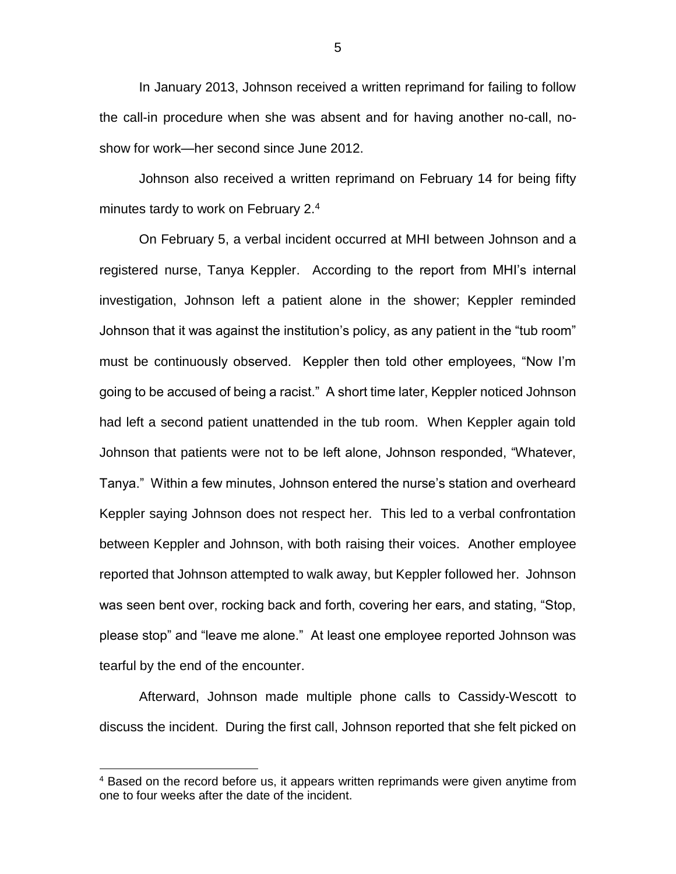In January 2013, Johnson received a written reprimand for failing to follow the call-in procedure when she was absent and for having another no-call, noshow for work—her second since June 2012.

Johnson also received a written reprimand on February 14 for being fifty minutes tardy to work on February 2.<sup>4</sup>

On February 5, a verbal incident occurred at MHI between Johnson and a registered nurse, Tanya Keppler. According to the report from MHI's internal investigation, Johnson left a patient alone in the shower; Keppler reminded Johnson that it was against the institution's policy, as any patient in the "tub room" must be continuously observed. Keppler then told other employees, "Now I'm going to be accused of being a racist." A short time later, Keppler noticed Johnson had left a second patient unattended in the tub room. When Keppler again told Johnson that patients were not to be left alone, Johnson responded, "Whatever, Tanya." Within a few minutes, Johnson entered the nurse's station and overheard Keppler saying Johnson does not respect her. This led to a verbal confrontation between Keppler and Johnson, with both raising their voices. Another employee reported that Johnson attempted to walk away, but Keppler followed her. Johnson was seen bent over, rocking back and forth, covering her ears, and stating, "Stop, please stop" and "leave me alone." At least one employee reported Johnson was tearful by the end of the encounter.

Afterward, Johnson made multiple phone calls to Cassidy-Wescott to discuss the incident. During the first call, Johnson reported that she felt picked on

 $\overline{a}$ 

5

<sup>&</sup>lt;sup>4</sup> Based on the record before us, it appears written reprimands were given anytime from one to four weeks after the date of the incident.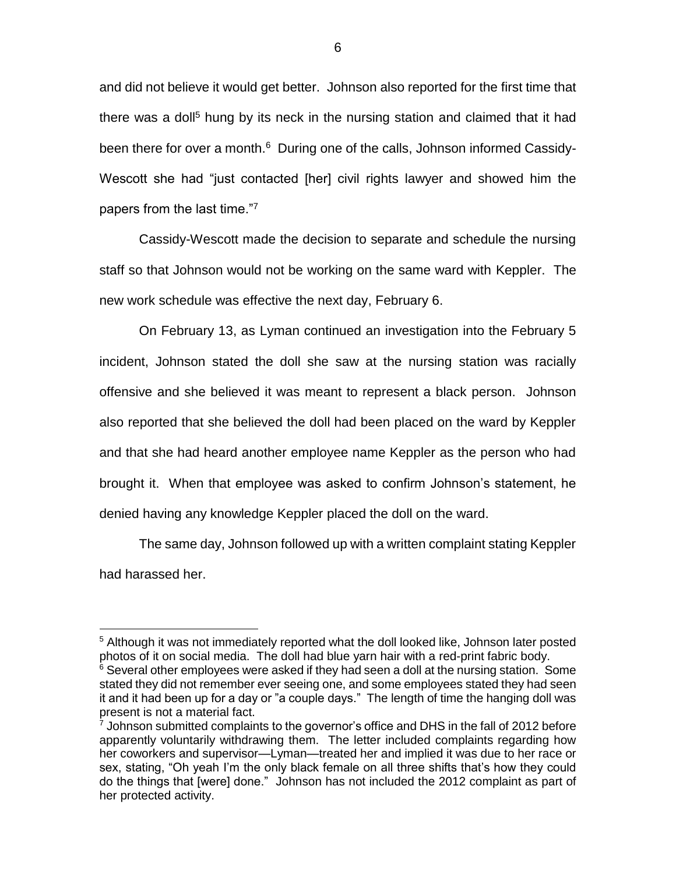and did not believe it would get better. Johnson also reported for the first time that there was a doll<sup>5</sup> hung by its neck in the nursing station and claimed that it had been there for over a month.<sup>6</sup> During one of the calls, Johnson informed Cassidy-Wescott she had "just contacted [her] civil rights lawyer and showed him the papers from the last time."7

Cassidy-Wescott made the decision to separate and schedule the nursing staff so that Johnson would not be working on the same ward with Keppler. The new work schedule was effective the next day, February 6.

On February 13, as Lyman continued an investigation into the February 5 incident, Johnson stated the doll she saw at the nursing station was racially offensive and she believed it was meant to represent a black person. Johnson also reported that she believed the doll had been placed on the ward by Keppler and that she had heard another employee name Keppler as the person who had brought it. When that employee was asked to confirm Johnson's statement, he denied having any knowledge Keppler placed the doll on the ward.

The same day, Johnson followed up with a written complaint stating Keppler had harassed her.

<sup>&</sup>lt;sup>5</sup> Although it was not immediately reported what the doll looked like, Johnson later posted photos of it on social media. The doll had blue yarn hair with a red-print fabric body.  $6$  Several other employees were asked if they had seen a doll at the nursing station. Some stated they did not remember ever seeing one, and some employees stated they had seen it and it had been up for a day or "a couple days." The length of time the hanging doll was present is not a material fact.

 $7$  Johnson submitted complaints to the governor's office and DHS in the fall of 2012 before apparently voluntarily withdrawing them. The letter included complaints regarding how her coworkers and supervisor—Lyman—treated her and implied it was due to her race or sex, stating, "Oh yeah I'm the only black female on all three shifts that's how they could do the things that [were] done." Johnson has not included the 2012 complaint as part of her protected activity.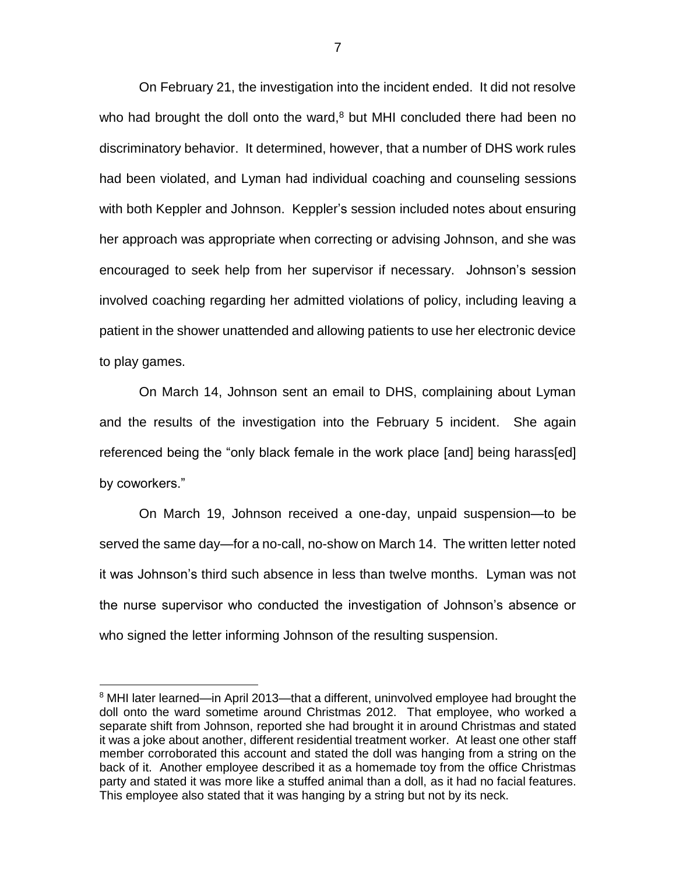On February 21, the investigation into the incident ended. It did not resolve who had brought the doll onto the ward, $8$  but MHI concluded there had been no discriminatory behavior. It determined, however, that a number of DHS work rules had been violated, and Lyman had individual coaching and counseling sessions with both Keppler and Johnson. Keppler's session included notes about ensuring her approach was appropriate when correcting or advising Johnson, and she was encouraged to seek help from her supervisor if necessary. Johnson's session involved coaching regarding her admitted violations of policy, including leaving a patient in the shower unattended and allowing patients to use her electronic device to play games.

On March 14, Johnson sent an email to DHS, complaining about Lyman and the results of the investigation into the February 5 incident. She again referenced being the "only black female in the work place [and] being harass[ed] by coworkers."

On March 19, Johnson received a one-day, unpaid suspension—to be served the same day—for a no-call, no-show on March 14. The written letter noted it was Johnson's third such absence in less than twelve months. Lyman was not the nurse supervisor who conducted the investigation of Johnson's absence or who signed the letter informing Johnson of the resulting suspension.

<sup>&</sup>lt;sup>8</sup> MHI later learned—in April 2013—that a different, uninvolved employee had brought the doll onto the ward sometime around Christmas 2012. That employee, who worked a separate shift from Johnson, reported she had brought it in around Christmas and stated it was a joke about another, different residential treatment worker. At least one other staff member corroborated this account and stated the doll was hanging from a string on the back of it. Another employee described it as a homemade toy from the office Christmas party and stated it was more like a stuffed animal than a doll, as it had no facial features. This employee also stated that it was hanging by a string but not by its neck.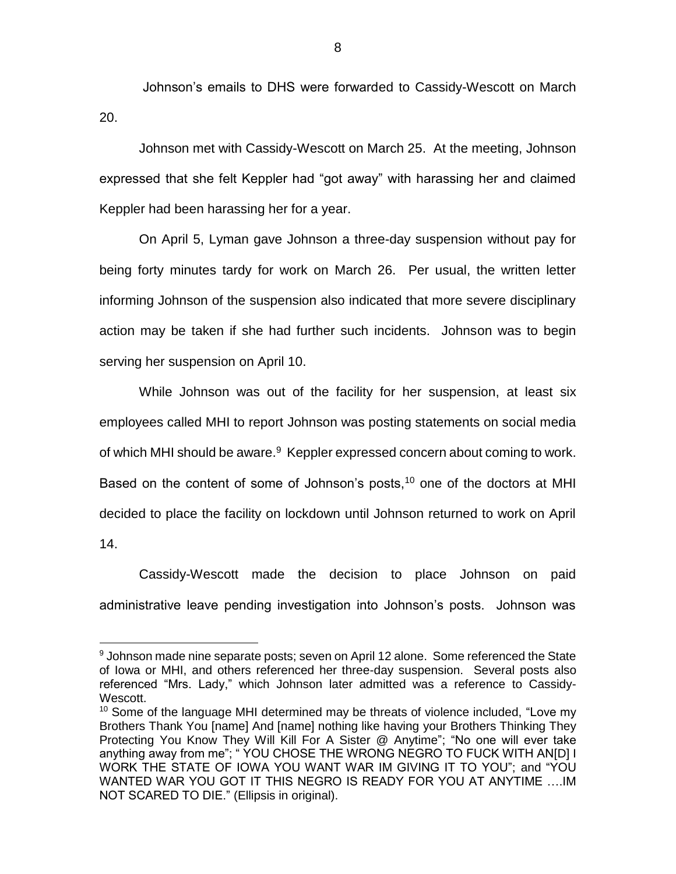Johnson's emails to DHS were forwarded to Cassidy-Wescott on March 20.

Johnson met with Cassidy-Wescott on March 25. At the meeting, Johnson expressed that she felt Keppler had "got away" with harassing her and claimed Keppler had been harassing her for a year.

On April 5, Lyman gave Johnson a three-day suspension without pay for being forty minutes tardy for work on March 26. Per usual, the written letter informing Johnson of the suspension also indicated that more severe disciplinary action may be taken if she had further such incidents. Johnson was to begin serving her suspension on April 10.

While Johnson was out of the facility for her suspension, at least six employees called MHI to report Johnson was posting statements on social media of which MHI should be aware.<sup>9</sup> Keppler expressed concern about coming to work. Based on the content of some of Johnson's posts,<sup>10</sup> one of the doctors at MHI decided to place the facility on lockdown until Johnson returned to work on April 14.

Cassidy-Wescott made the decision to place Johnson on paid administrative leave pending investigation into Johnson's posts. Johnson was

 $9$  Johnson made nine separate posts; seven on April 12 alone. Some referenced the State of Iowa or MHI, and others referenced her three-day suspension. Several posts also referenced "Mrs. Lady," which Johnson later admitted was a reference to Cassidy-Wescott.

 $10$  Some of the language MHI determined may be threats of violence included, "Love my Brothers Thank You [name] And [name] nothing like having your Brothers Thinking They Protecting You Know They Will Kill For A Sister @ Anytime"; "No one will ever take anything away from me"; " YOU CHOSE THE WRONG NEGRO TO FUCK WITH AN[D] I WORK THE STATE OF IOWA YOU WANT WAR IM GIVING IT TO YOU"; and "YOU WANTED WAR YOU GOT IT THIS NEGRO IS READY FOR YOU AT ANYTIME ….IM NOT SCARED TO DIE." (Ellipsis in original).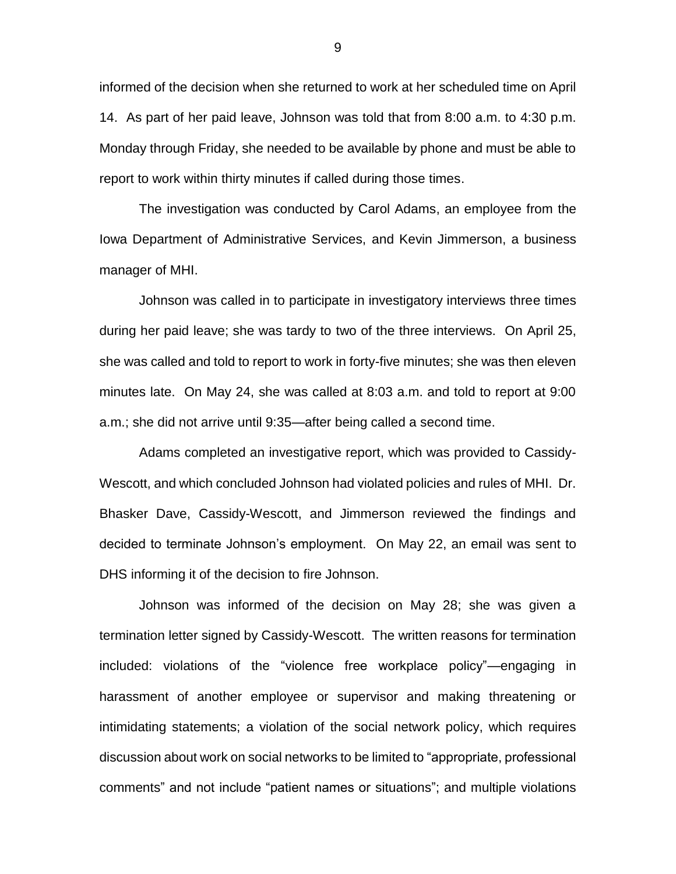informed of the decision when she returned to work at her scheduled time on April 14. As part of her paid leave, Johnson was told that from 8:00 a.m. to 4:30 p.m. Monday through Friday, she needed to be available by phone and must be able to report to work within thirty minutes if called during those times.

The investigation was conducted by Carol Adams, an employee from the Iowa Department of Administrative Services, and Kevin Jimmerson, a business manager of MHI.

Johnson was called in to participate in investigatory interviews three times during her paid leave; she was tardy to two of the three interviews. On April 25, she was called and told to report to work in forty-five minutes; she was then eleven minutes late. On May 24, she was called at 8:03 a.m. and told to report at 9:00 a.m.; she did not arrive until 9:35—after being called a second time.

Adams completed an investigative report, which was provided to Cassidy-Wescott, and which concluded Johnson had violated policies and rules of MHI. Dr. Bhasker Dave, Cassidy-Wescott, and Jimmerson reviewed the findings and decided to terminate Johnson's employment. On May 22, an email was sent to DHS informing it of the decision to fire Johnson.

Johnson was informed of the decision on May 28; she was given a termination letter signed by Cassidy-Wescott. The written reasons for termination included: violations of the "violence free workplace policy"—engaging in harassment of another employee or supervisor and making threatening or intimidating statements; a violation of the social network policy, which requires discussion about work on social networks to be limited to "appropriate, professional comments" and not include "patient names or situations"; and multiple violations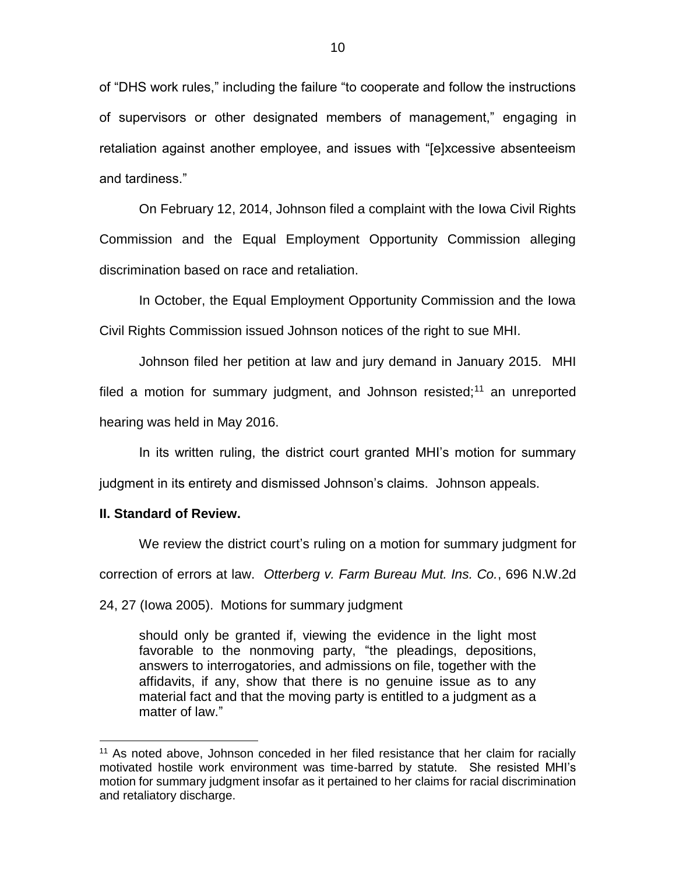of "DHS work rules," including the failure "to cooperate and follow the instructions of supervisors or other designated members of management," engaging in retaliation against another employee, and issues with "[e]xcessive absenteeism and tardiness."

On February 12, 2014, Johnson filed a complaint with the Iowa Civil Rights Commission and the Equal Employment Opportunity Commission alleging discrimination based on race and retaliation.

In October, the Equal Employment Opportunity Commission and the Iowa Civil Rights Commission issued Johnson notices of the right to sue MHI.

Johnson filed her petition at law and jury demand in January 2015. MHI filed a motion for summary judgment, and Johnson resisted;<sup>11</sup> an unreported hearing was held in May 2016.

In its written ruling, the district court granted MHI's motion for summary judgment in its entirety and dismissed Johnson's claims. Johnson appeals.

#### **II. Standard of Review.**

 $\overline{a}$ 

We review the district court's ruling on a motion for summary judgment for

correction of errors at law. *Otterberg v. Farm Bureau Mut. Ins. Co.*, 696 N.W.2d

24, 27 (Iowa 2005). Motions for summary judgment

should only be granted if, viewing the evidence in the light most favorable to the nonmoving party, "the pleadings, depositions, answers to interrogatories, and admissions on file, together with the affidavits, if any, show that there is no genuine issue as to any material fact and that the moving party is entitled to a judgment as a matter of law."

 $11$  As noted above, Johnson conceded in her filed resistance that her claim for racially motivated hostile work environment was time-barred by statute. She resisted MHI's motion for summary judgment insofar as it pertained to her claims for racial discrimination and retaliatory discharge.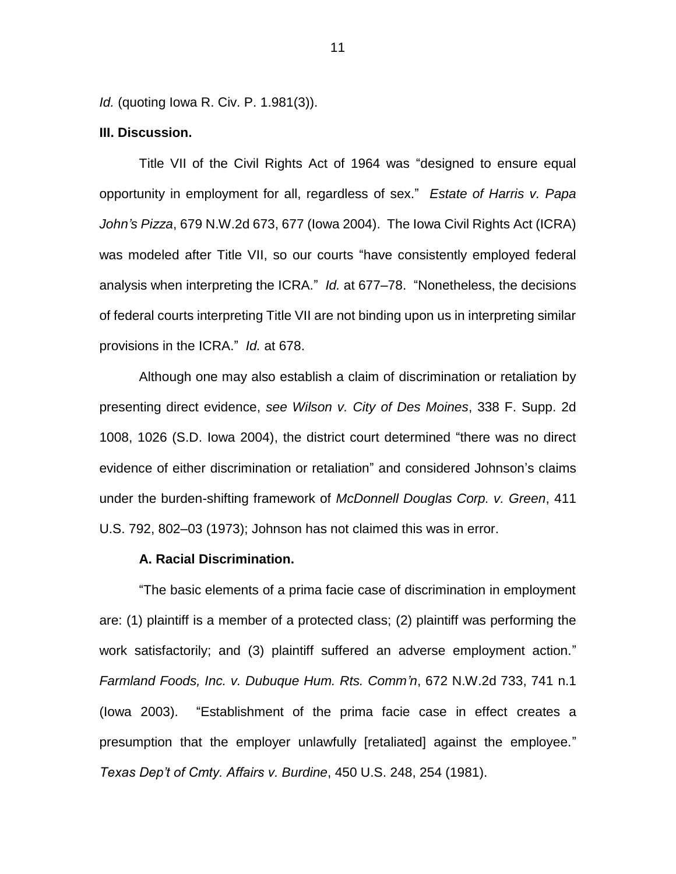*Id.* (quoting Iowa R. Civ. P. 1.981(3)).

## **III. Discussion.**

Title VII of the Civil Rights Act of 1964 was "designed to ensure equal opportunity in employment for all, regardless of sex." *Estate of Harris v. Papa John's Pizza*, 679 N.W.2d 673, 677 (Iowa 2004). The Iowa Civil Rights Act (ICRA) was modeled after Title VII, so our courts "have consistently employed federal analysis when interpreting the ICRA." *Id.* at 677–78. "Nonetheless, the decisions of federal courts interpreting Title VII are not binding upon us in interpreting similar provisions in the ICRA." *Id.* at 678.

Although one may also establish a claim of discrimination or retaliation by presenting direct evidence, *see Wilson v. City of Des Moines*, 338 F. Supp. 2d 1008, 1026 (S.D. Iowa 2004), the district court determined "there was no direct evidence of either discrimination or retaliation" and considered Johnson's claims under the burden-shifting framework of *McDonnell Douglas Corp. v. Green*, 411 U.S. 792, 802–03 (1973); Johnson has not claimed this was in error.

#### **A. Racial Discrimination.**

"The basic elements of a prima facie case of discrimination in employment are: (1) plaintiff is a member of a protected class; (2) plaintiff was performing the work satisfactorily; and (3) plaintiff suffered an adverse employment action." *Farmland Foods, Inc. v. Dubuque Hum. Rts. Comm'n*, 672 N.W.2d 733, 741 n.1 (Iowa 2003). "Establishment of the prima facie case in effect creates a presumption that the employer unlawfully [retaliated] against the employee." *Texas Dep't of Cmty. Affairs v. Burdine*, 450 U.S. 248, 254 (1981).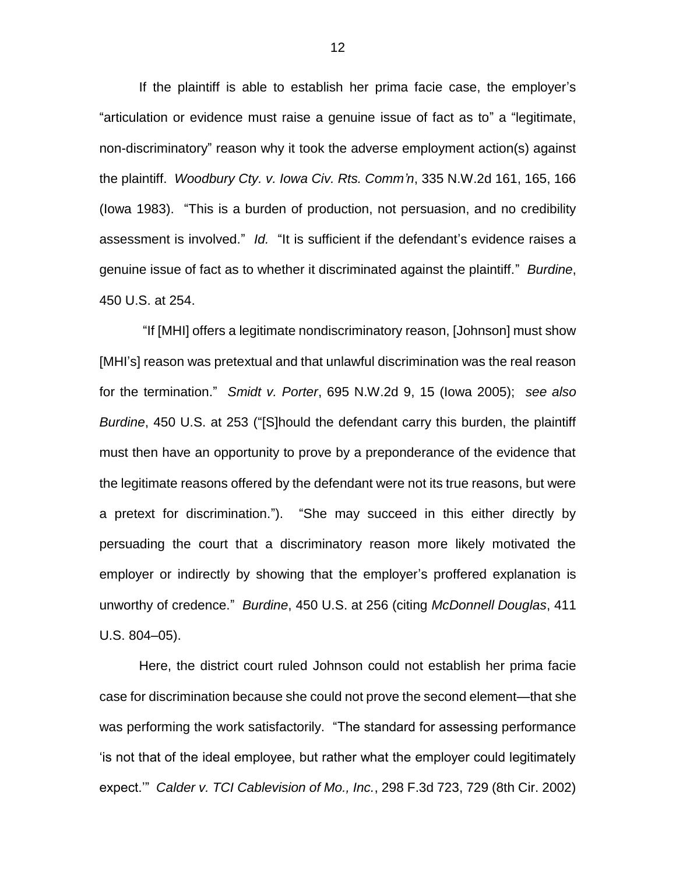If the plaintiff is able to establish her prima facie case, the employer's "articulation or evidence must raise a genuine issue of fact as to" a "legitimate, non-discriminatory" reason why it took the adverse employment action(s) against the plaintiff. *Woodbury Cty. v. Iowa Civ. Rts. Comm'n*, 335 N.W.2d 161, 165, 166 (Iowa 1983). "This is a burden of production, not persuasion, and no credibility assessment is involved." *Id.* "It is sufficient if the defendant's evidence raises a genuine issue of fact as to whether it discriminated against the plaintiff." *Burdine*, 450 U.S. at 254.

"If [MHI] offers a legitimate nondiscriminatory reason, [Johnson] must show [MHI's] reason was pretextual and that unlawful discrimination was the real reason for the termination." *Smidt v. Porter*, 695 N.W.2d 9, 15 (Iowa 2005); *see also Burdine*, 450 U.S. at 253 ("[S]hould the defendant carry this burden, the plaintiff must then have an opportunity to prove by a preponderance of the evidence that the legitimate reasons offered by the defendant were not its true reasons, but were a pretext for discrimination."). "She may succeed in this either directly by persuading the court that a discriminatory reason more likely motivated the employer or indirectly by showing that the employer's proffered explanation is unworthy of credence." *Burdine*, 450 U.S. at 256 (citing *McDonnell Douglas*, 411 U.S. 804–05).

Here, the district court ruled Johnson could not establish her prima facie case for discrimination because she could not prove the second element—that she was performing the work satisfactorily. "The standard for assessing performance 'is not that of the ideal employee, but rather what the employer could legitimately expect.'" *Calder v. TCI Cablevision of Mo., Inc.*, 298 F.3d 723, 729 (8th Cir. 2002)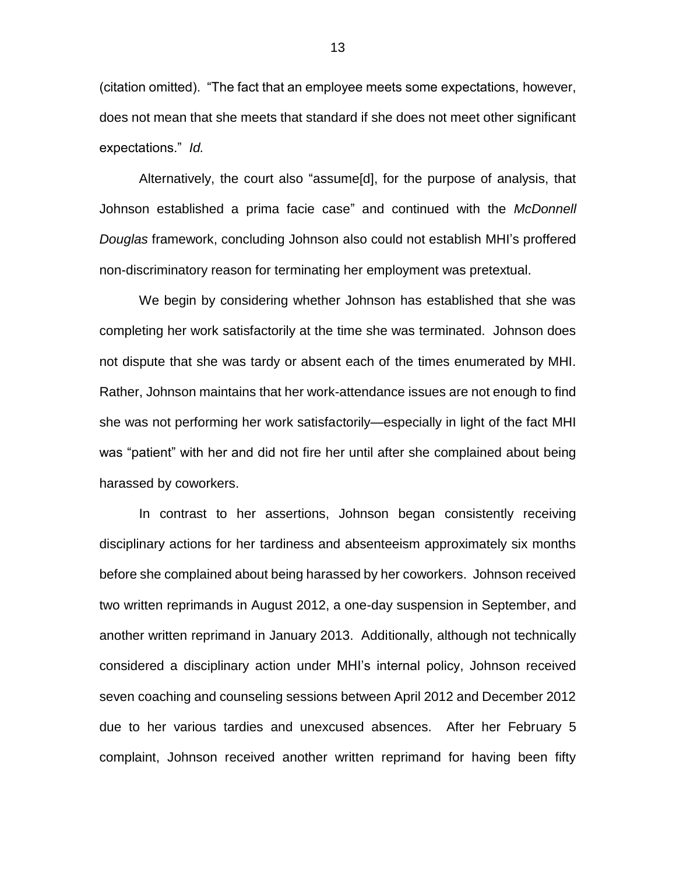(citation omitted). "The fact that an employee meets some expectations, however, does not mean that she meets that standard if she does not meet other significant expectations." *Id.* 

Alternatively, the court also "assume[d], for the purpose of analysis, that Johnson established a prima facie case" and continued with the *McDonnell Douglas* framework, concluding Johnson also could not establish MHI's proffered non-discriminatory reason for terminating her employment was pretextual.

We begin by considering whether Johnson has established that she was completing her work satisfactorily at the time she was terminated. Johnson does not dispute that she was tardy or absent each of the times enumerated by MHI. Rather, Johnson maintains that her work-attendance issues are not enough to find she was not performing her work satisfactorily—especially in light of the fact MHI was "patient" with her and did not fire her until after she complained about being harassed by coworkers.

In contrast to her assertions, Johnson began consistently receiving disciplinary actions for her tardiness and absenteeism approximately six months before she complained about being harassed by her coworkers. Johnson received two written reprimands in August 2012, a one-day suspension in September, and another written reprimand in January 2013. Additionally, although not technically considered a disciplinary action under MHI's internal policy, Johnson received seven coaching and counseling sessions between April 2012 and December 2012 due to her various tardies and unexcused absences. After her February 5 complaint, Johnson received another written reprimand for having been fifty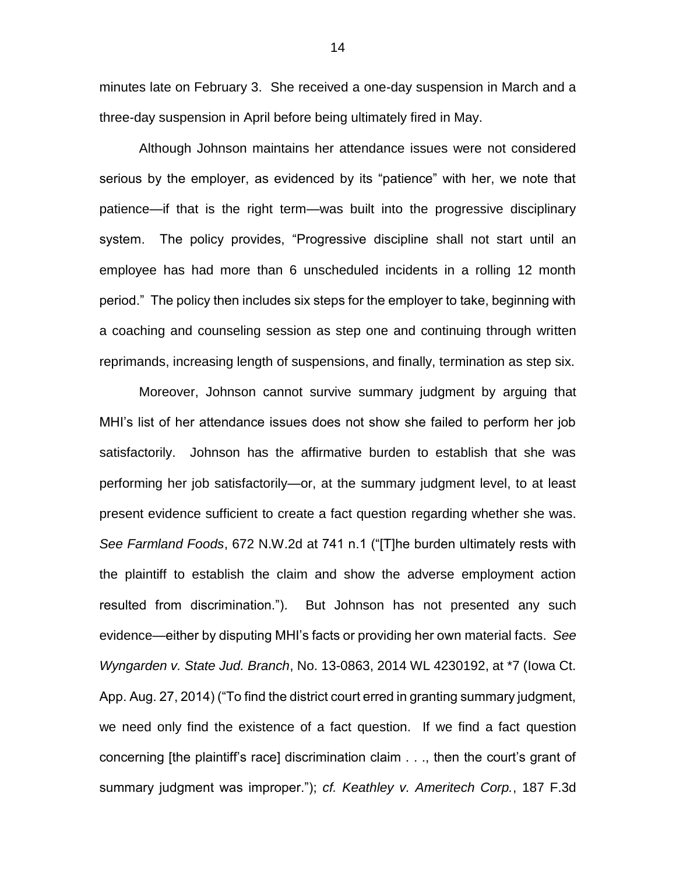minutes late on February 3. She received a one-day suspension in March and a three-day suspension in April before being ultimately fired in May.

Although Johnson maintains her attendance issues were not considered serious by the employer, as evidenced by its "patience" with her, we note that patience—if that is the right term—was built into the progressive disciplinary system. The policy provides, "Progressive discipline shall not start until an employee has had more than 6 unscheduled incidents in a rolling 12 month period." The policy then includes six steps for the employer to take, beginning with a coaching and counseling session as step one and continuing through written reprimands, increasing length of suspensions, and finally, termination as step six.

Moreover, Johnson cannot survive summary judgment by arguing that MHI's list of her attendance issues does not show she failed to perform her job satisfactorily. Johnson has the affirmative burden to establish that she was performing her job satisfactorily—or, at the summary judgment level, to at least present evidence sufficient to create a fact question regarding whether she was. *See Farmland Foods*, 672 N.W.2d at 741 n.1 ("[T]he burden ultimately rests with the plaintiff to establish the claim and show the adverse employment action resulted from discrimination."). But Johnson has not presented any such evidence—either by disputing MHI's facts or providing her own material facts. *See Wyngarden v. State Jud. Branch*, No. 13-0863, 2014 WL 4230192, at \*7 (Iowa Ct. App. Aug. 27, 2014) ("To find the district court erred in granting summary judgment, we need only find the existence of a fact question. If we find a fact question concerning [the plaintiff's race] discrimination claim . . ., then the court's grant of summary judgment was improper."); *cf. Keathley v. Ameritech Corp.*, 187 F.3d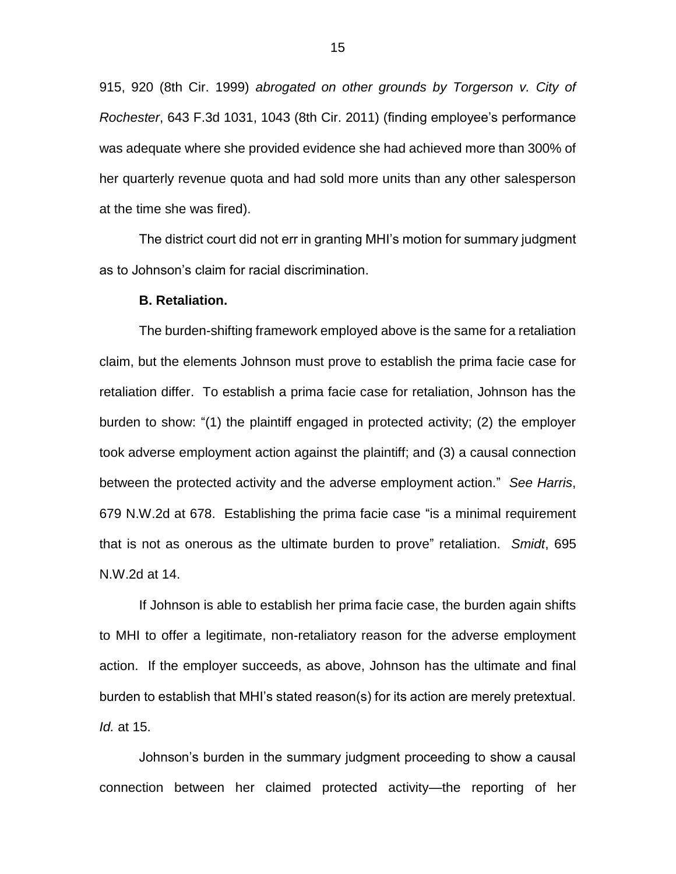915, 920 (8th Cir. 1999) *abrogated on other grounds by Torgerson v. City of Rochester*, 643 F.3d 1031, 1043 (8th Cir. 2011) (finding employee's performance was adequate where she provided evidence she had achieved more than 300% of her quarterly revenue quota and had sold more units than any other salesperson at the time she was fired).

The district court did not err in granting MHI's motion for summary judgment as to Johnson's claim for racial discrimination.

#### **B. Retaliation.**

The burden-shifting framework employed above is the same for a retaliation claim, but the elements Johnson must prove to establish the prima facie case for retaliation differ. To establish a prima facie case for retaliation, Johnson has the burden to show: "(1) the plaintiff engaged in protected activity; (2) the employer took adverse employment action against the plaintiff; and (3) a causal connection between the protected activity and the adverse employment action." *See Harris*, 679 N.W.2d at 678. Establishing the prima facie case "is a minimal requirement that is not as onerous as the ultimate burden to prove" retaliation. *Smidt*, 695 N.W.2d at 14.

If Johnson is able to establish her prima facie case, the burden again shifts to MHI to offer a legitimate, non-retaliatory reason for the adverse employment action. If the employer succeeds, as above, Johnson has the ultimate and final burden to establish that MHI's stated reason(s) for its action are merely pretextual. *Id.* at 15.

Johnson's burden in the summary judgment proceeding to show a causal connection between her claimed protected activity—the reporting of her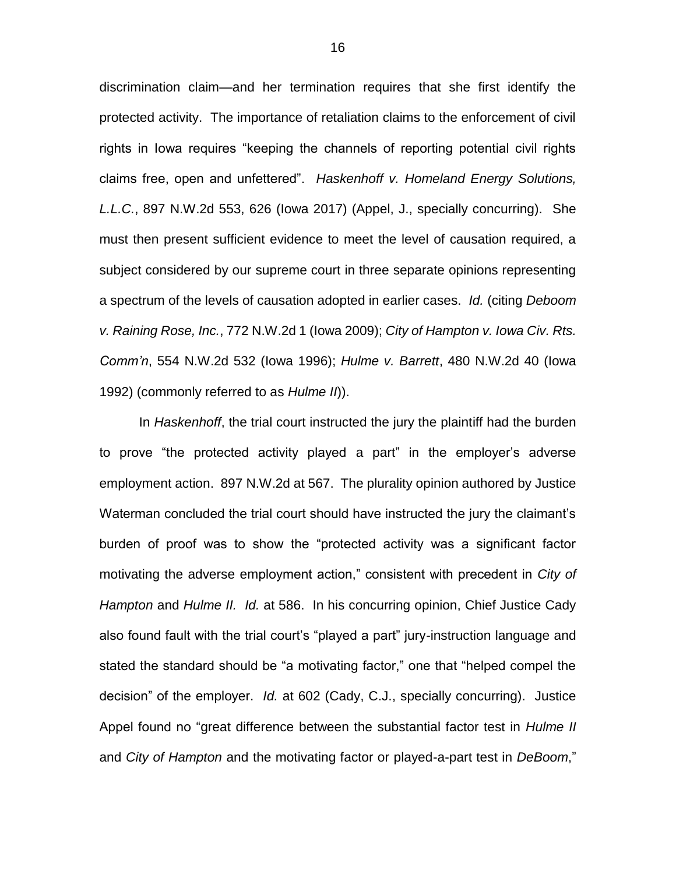discrimination claim—and her termination requires that she first identify the protected activity. The importance of retaliation claims to the enforcement of civil rights in Iowa requires "keeping the channels of reporting potential civil rights claims free, open and unfettered". *Haskenhoff v. Homeland Energy Solutions, L.L.C.*, 897 N.W.2d 553, 626 (Iowa 2017) (Appel, J., specially concurring). She must then present sufficient evidence to meet the level of causation required, a subject considered by our supreme court in three separate opinions representing a spectrum of the levels of causation adopted in earlier cases. *Id.* (citing *Deboom v. Raining Rose, Inc.*, 772 N.W.2d 1 (Iowa 2009); *City of Hampton v. Iowa Civ. Rts. Comm'n*, 554 N.W.2d 532 (Iowa 1996); *Hulme v. Barrett*, 480 N.W.2d 40 (Iowa 1992) (commonly referred to as *Hulme II*)).

In *Haskenhoff*, the trial court instructed the jury the plaintiff had the burden to prove "the protected activity played a part" in the employer's adverse employment action. 897 N.W.2d at 567. The plurality opinion authored by Justice Waterman concluded the trial court should have instructed the jury the claimant's burden of proof was to show the "protected activity was a significant factor motivating the adverse employment action," consistent with precedent in *City of Hampton* and *Hulme II. Id.* at 586.In his concurring opinion, Chief Justice Cady also found fault with the trial court's "played a part" jury-instruction language and stated the standard should be "a motivating factor," one that "helped compel the decision" of the employer. *Id.* at 602 (Cady, C.J., specially concurring). Justice Appel found no "great difference between the substantial factor test in *Hulme II*  and *City of Hampton* and the motivating factor or played-a-part test in *DeBoom*,"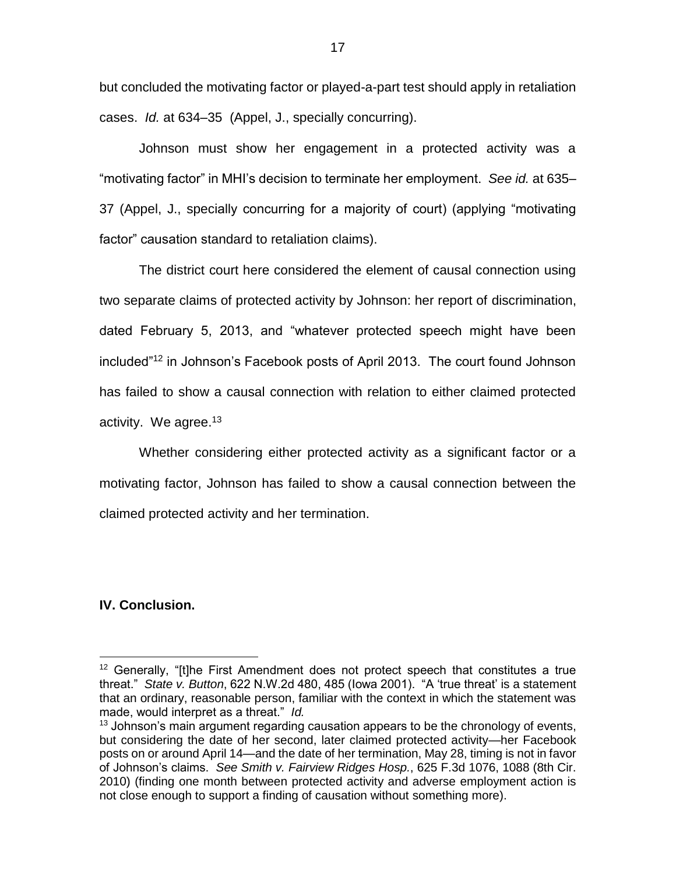but concluded the motivating factor or played-a-part test should apply in retaliation cases. *Id.* at 634–35 (Appel, J., specially concurring).

Johnson must show her engagement in a protected activity was a "motivating factor" in MHI's decision to terminate her employment. *See id.* at 635– 37 (Appel, J., specially concurring for a majority of court) (applying "motivating factor" causation standard to retaliation claims).

The district court here considered the element of causal connection using two separate claims of protected activity by Johnson: her report of discrimination, dated February 5, 2013, and "whatever protected speech might have been included"<sup>12</sup> in Johnson's Facebook posts of April 2013. The court found Johnson has failed to show a causal connection with relation to either claimed protected activity. We agree.<sup>13</sup>

Whether considering either protected activity as a significant factor or a motivating factor, Johnson has failed to show a causal connection between the claimed protected activity and her termination.

#### **IV. Conclusion.**

 $12$  Generally, "[t]he First Amendment does not protect speech that constitutes a true threat." *State v. Button*, 622 N.W.2d 480, 485 (Iowa 2001). "A 'true threat' is a statement that an ordinary, reasonable person, familiar with the context in which the statement was made, would interpret as a threat." *Id.* 

 $13$  Johnson's main argument regarding causation appears to be the chronology of events, but considering the date of her second, later claimed protected activity—her Facebook posts on or around April 14—and the date of her termination, May 28, timing is not in favor of Johnson's claims. *See Smith v. Fairview Ridges Hosp.*, 625 F.3d 1076, 1088 (8th Cir. 2010) (finding one month between protected activity and adverse employment action is not close enough to support a finding of causation without something more).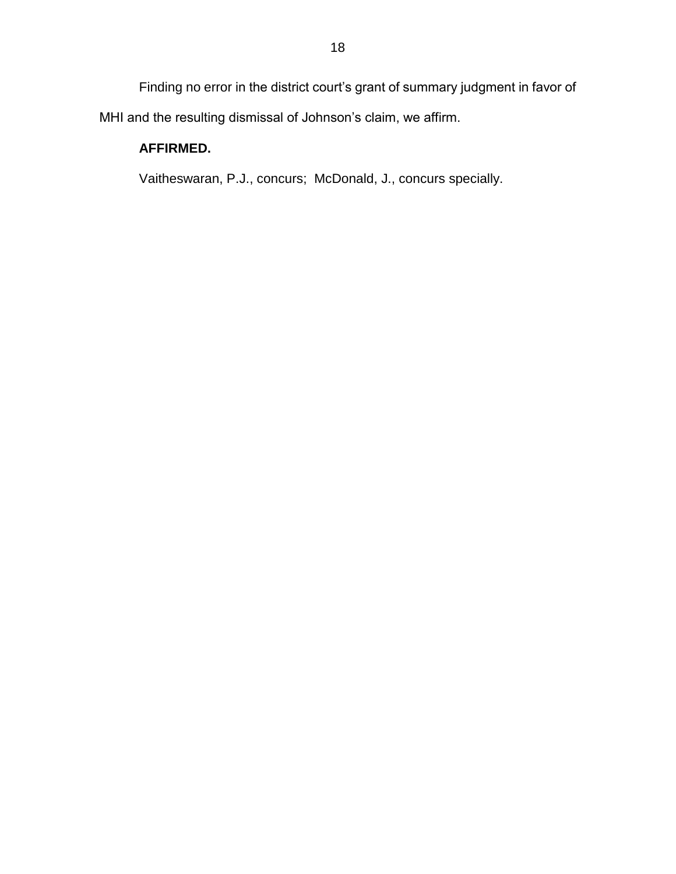Finding no error in the district court's grant of summary judgment in favor of MHI and the resulting dismissal of Johnson's claim, we affirm.

# **AFFIRMED.**

Vaitheswaran, P.J., concurs; McDonald, J., concurs specially.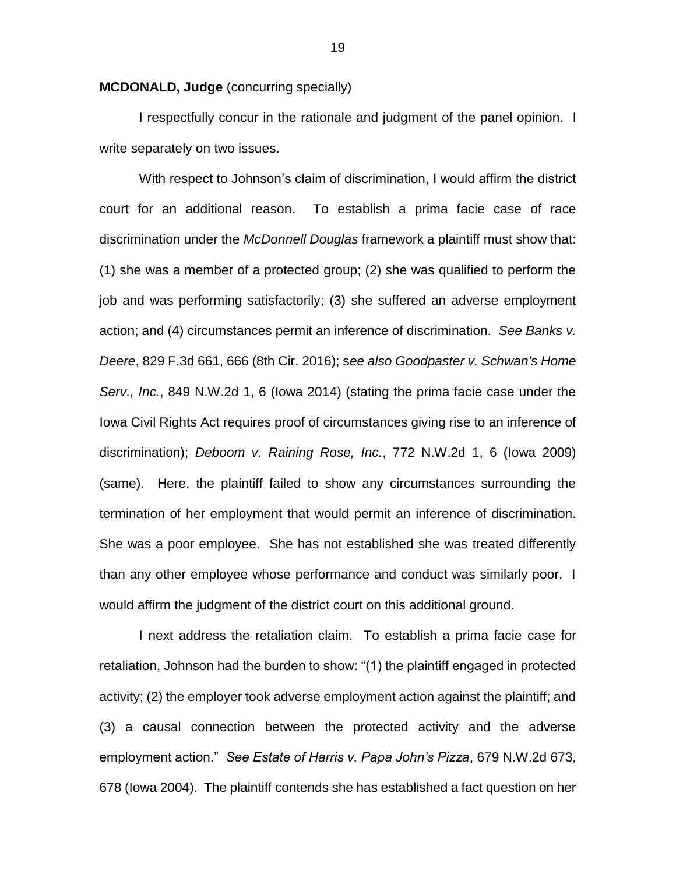**MCDONALD, Judge** (concurring specially)

I respectfully concur in the rationale and judgment of the panel opinion. I write separately on two issues.

With respect to Johnson's claim of discrimination, I would affirm the district court for an additional reason. To establish a prima facie case of race discrimination under the *McDonnell Douglas* framework a plaintiff must show that: (1) she was a member of a protected group; (2) she was qualified to perform the job and was performing satisfactorily; (3) she suffered an adverse employment action; and (4) circumstances permit an inference of discrimination. *See Banks v. Deere*, 829 F.3d 661, 666 (8th Cir. 2016); s*ee also Goodpaster v. Schwan's Home Serv., Inc.*, 849 N.W.2d 1, 6 (Iowa 2014) (stating the prima facie case under the Iowa Civil Rights Act requires proof of circumstances giving rise to an inference of discrimination); *Deboom v. Raining Rose, Inc.*, 772 N.W.2d 1, 6 (Iowa 2009) (same). Here, the plaintiff failed to show any circumstances surrounding the termination of her employment that would permit an inference of discrimination. She was a poor employee. She has not established she was treated differently than any other employee whose performance and conduct was similarly poor. I would affirm the judgment of the district court on this additional ground.

I next address the retaliation claim. To establish a prima facie case for retaliation, Johnson had the burden to show: "(1) the plaintiff engaged in protected activity; (2) the employer took adverse employment action against the plaintiff; and (3) a causal connection between the protected activity and the adverse employment action." *See Estate of Harris v. Papa John's Pizza*, 679 N.W.2d 673, 678 (Iowa 2004). The plaintiff contends she has established a fact question on her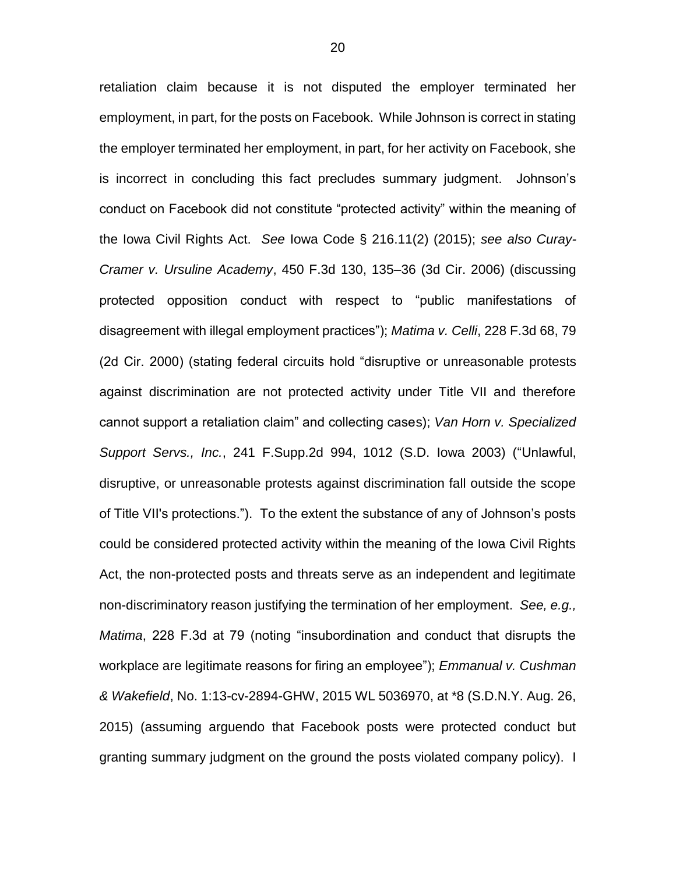retaliation claim because it is not disputed the employer terminated her employment, in part, for the posts on Facebook. While Johnson is correct in stating the employer terminated her employment, in part, for her activity on Facebook, she is incorrect in concluding this fact precludes summary judgment. Johnson's conduct on Facebook did not constitute "protected activity" within the meaning of the Iowa Civil Rights Act. *See* Iowa Code § 216.11(2) (2015); *see also Curay-Cramer v. Ursuline Academy*, 450 F.3d 130, 135–36 (3d Cir. 2006) (discussing protected opposition conduct with respect to "public manifestations of disagreement with illegal employment practices"); *Matima v. Celli*, 228 F.3d 68, 79 (2d Cir. 2000) (stating federal circuits hold "disruptive or unreasonable protests against discrimination are not protected activity under Title VII and therefore cannot support a retaliation claim" and collecting cases); *Van Horn v. Specialized Support Servs., Inc.*, 241 F.Supp.2d 994, 1012 (S.D. Iowa 2003) ("Unlawful, disruptive, or unreasonable protests against discrimination fall outside the scope of Title VII's protections."). To the extent the substance of any of Johnson's posts could be considered protected activity within the meaning of the Iowa Civil Rights Act, the non-protected posts and threats serve as an independent and legitimate non-discriminatory reason justifying the termination of her employment. *See, e.g., Matima*, 228 F.3d at 79 (noting "insubordination and conduct that disrupts the workplace are legitimate reasons for firing an employee"); *Emmanual v. Cushman & Wakefield*, No. 1:13-cv-2894-GHW, 2015 WL 5036970, at \*8 (S.D.N.Y. Aug. 26, 2015) (assuming arguendo that Facebook posts were protected conduct but granting summary judgment on the ground the posts violated company policy). I